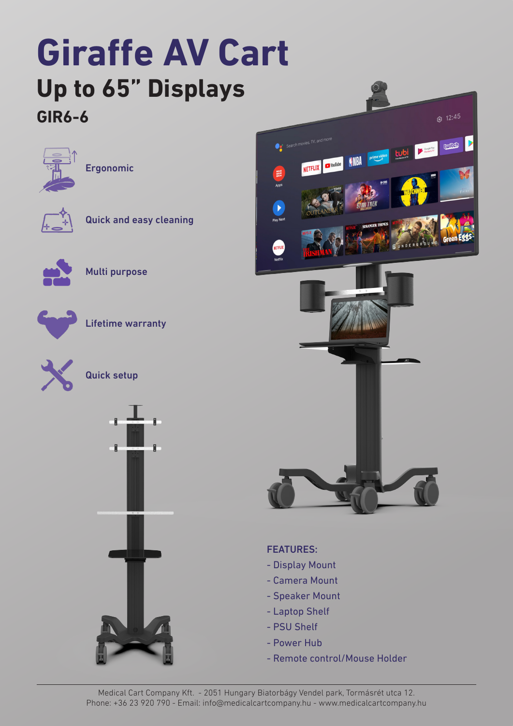### **Giraffe AV Cart Up to 65" Displays GIR6-6**











Multi purpose



Lifetime warranty







#### FEATURES:

- Display Mount
- Camera Mount
- Speaker Mount
- Laptop Shelf
- PSU Shelf
- Power Hub
- Remote control/Mouse Holder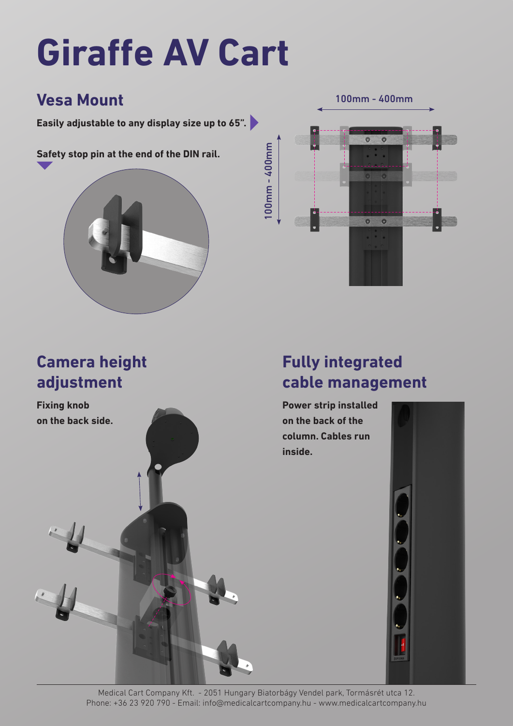# **Giraffe AV Cart**

#### **Vesa Mount**

**Easily adjustable to any display size up to 65".**

**Safety stop pin at the end of the DIN rail.**



100mm - 400mm $100$ mm - 400mm 100mm - 400mm  $\bullet$  $\bullet$ 

### **Camera height adjustment**

**Fixing knob on the back side.**

#### **Fully integrated cable management**

**Power strip installed on the back of the column. Cables run inside.**

Medical Cart Company Kft. - 2051 Hungary Biatorbágy Vendel park, Tormásrét utca 12. Phone: +36 23 920 790 - Email: info@medicalcartcompany.hu - www.medicalcartcompany.hu